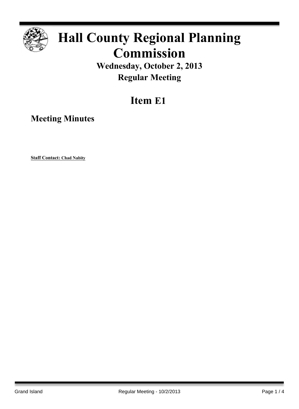

# **Hall County Regional Planning Commission**

**Wednesday, October 2, 2013 Regular Meeting**

## **Item E1**

**Meeting Minutes**

**Staff Contact: Chad Nabity**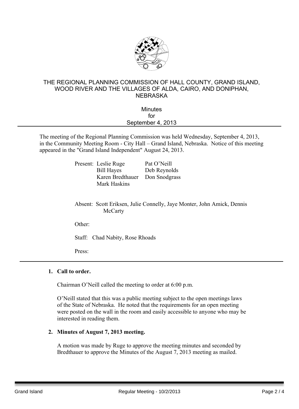

#### THE REGIONAL PLANNING COMMISSION OF HALL COUNTY, GRAND ISLAND, WOOD RIVER AND THE VILLAGES OF ALDA, CAIRO, AND DONIPHAN, **NEBRASKA**

### **Minutes** for September 4, 2013

The meeting of the Regional Planning Commission was held Wednesday, September 4, 2013, in the Community Meeting Room - City Hall – Grand Island, Nebraska. Notice of this meeting appeared in the "Grand Island Independent" August 24, 2013.

| Present: Leslie Ruge | Pat O'Neill   |
|----------------------|---------------|
| <b>Bill Hayes</b>    | Deb Reynolds  |
| Karen Bredthauer     | Don Snodgrass |
| <b>Mark Haskins</b>  |               |
|                      |               |

Absent: Scott Eriksen, Julie Connelly, Jaye Monter, John Amick, Dennis **McCarty** 

Other:

Staff: Chad Nabity, Rose Rhoads

Press:

#### **1. Call to order.**

Chairman O'Neill called the meeting to order at 6:00 p.m.

O'Neill stated that this was a public meeting subject to the open meetings laws of the State of Nebraska. He noted that the requirements for an open meeting were posted on the wall in the room and easily accessible to anyone who may be interested in reading them.

#### **2. Minutes of August 7, 2013 meeting.**

A motion was made by Ruge to approve the meeting minutes and seconded by Bredthauer to approve the Minutes of the August 7, 2013 meeting as mailed.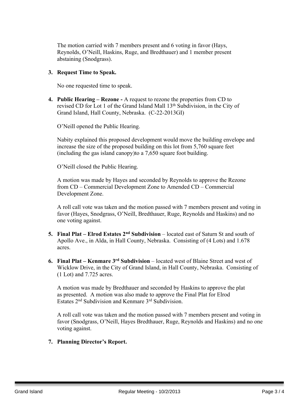The motion carried with 7 members present and 6 voting in favor (Hays, Reynolds, O'Neill, Haskins, Ruge, and Bredthauer) and 1 member present abstaining (Snodgrass).

#### **3. Request Time to Speak.**

No one requested time to speak.

**4. Public Hearing – Rezone -** A request to rezone the properties from CD to revised CD for Lot 1 of the Grand Island Mall 13th Subdivision, in the City of Grand Island, Hall County, Nebraska. (C-22-2013GI)

O'Neill opened the Public Hearing.

Nabity explained this proposed development would move the building envelope and increase the size of the proposed building on this lot from 5,760 square feet (including the gas island canopy)to a 7,650 square foot building.

O'Neill closed the Public Hearing.

A motion was made by Hayes and seconded by Reynolds to approve the Rezone from CD – Commercial Development Zone to Amended CD – Commercial Development Zone.

A roll call vote was taken and the motion passed with 7 members present and voting in favor (Hayes, Snodgrass, O'Neill, Bredthauer, Ruge, Reynolds and Haskins) and no one voting against.

- **5. Final Plat – Elrod Estates 2 nd Subdivision** located east of Saturn St and south of Apollo Ave., in Alda, in Hall County, Nebraska. Consisting of (4 Lots) and 1.678 acres.
- **6. Final Plat – Kenmare 3 rd Subdivision** located west of Blaine Street and west of Wicklow Drive, in the City of Grand Island, in Hall County, Nebraska. Consisting of (1 Lot) and 7.725 acres.

A motion was made by Bredthauer and seconded by Haskins to approve the plat as presented. A motion was also made to approve the Final Plat for Elrod Estates 2 nd Subdivision and Kenmare 3 rd Subdivision.

A roll call vote was taken and the motion passed with 7 members present and voting in favor (Snodgrass, O'Neill, Hayes Bredthauer, Ruge, Reynolds and Haskins) and no one voting against.

#### **7. Planning Director's Report.**